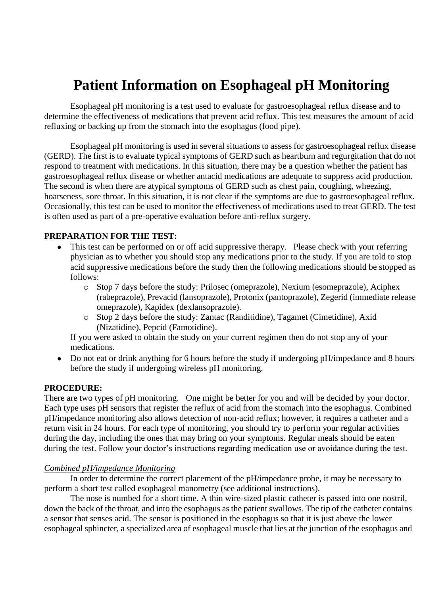# **Patient Information on Esophageal pH Monitoring**

Esophageal pH monitoring is a test used to evaluate for gastroesophageal reflux disease and to determine the effectiveness of medications that prevent acid reflux. This test measures the amount of acid refluxing or backing up from the stomach into the esophagus (food pipe).

Esophageal pH monitoring is used in several situations to assess for gastroesophageal reflux disease (GERD). The first is to evaluate typical symptoms of GERD such as heartburn and regurgitation that do not respond to treatment with medications. In this situation, there may be a question whether the patient has gastroesophageal reflux disease or whether antacid medications are adequate to suppress acid production. The second is when there are atypical symptoms of GERD such as chest pain, coughing, wheezing, hoarseness, sore throat. In this situation, it is not clear if the symptoms are due to gastroesophageal reflux. Occasionally, this test can be used to monitor the effectiveness of medications used to treat GERD. The test is often used as part of a pre-operative evaluation before anti-reflux surgery.

## **PREPARATION FOR THE TEST:**

- This test can be performed on or off acid suppressive therapy. Please check with your referring physician as to whether you should stop any medications prior to the study. If you are told to stop acid suppressive medications before the study then the following medications should be stopped as follows:
	- o Stop 7 days before the study: Prilosec (omeprazole), Nexium (esomeprazole), Aciphex (rabeprazole), Prevacid (lansoprazole), Protonix (pantoprazole), Zegerid (immediate release omeprazole), Kapidex (dexlansoprazole).
	- o Stop 2 days before the study: Zantac (Randitidine), Tagamet (Cimetidine), Axid (Nizatidine), Pepcid (Famotidine).

If you were asked to obtain the study on your current regimen then do not stop any of your medications.

• Do not eat or drink anything for 6 hours before the study if undergoing pH/impedance and 8 hours before the study if undergoing wireless pH monitoring.

## **PROCEDURE:**

There are two types of pH monitoring. One might be better for you and will be decided by your doctor. Each type uses pH sensors that register the reflux of acid from the stomach into the esophagus. Combined pH/impedance monitoring also allows detection of non-acid reflux; however, it requires a catheter and a return visit in 24 hours. For each type of monitoring, you should try to perform your regular activities during the day, including the ones that may bring on your symptoms. Regular meals should be eaten during the test. Follow your doctor's instructions regarding medication use or avoidance during the test.

#### *Combined pH/impedance Monitoring*

In order to determine the correct placement of the pH/impedance probe, it may be necessary to perform a short test called esophageal manometry (see additional instructions).

The nose is numbed for a short time. A thin wire-sized plastic catheter is passed into one nostril, down the back of the throat, and into the esophagus as the patient swallows. The tip of the catheter contains a sensor that senses acid. The sensor is positioned in the esophagus so that it is just above the lower esophageal sphincter, a specialized area of esophageal muscle that lies at the junction of the esophagus and